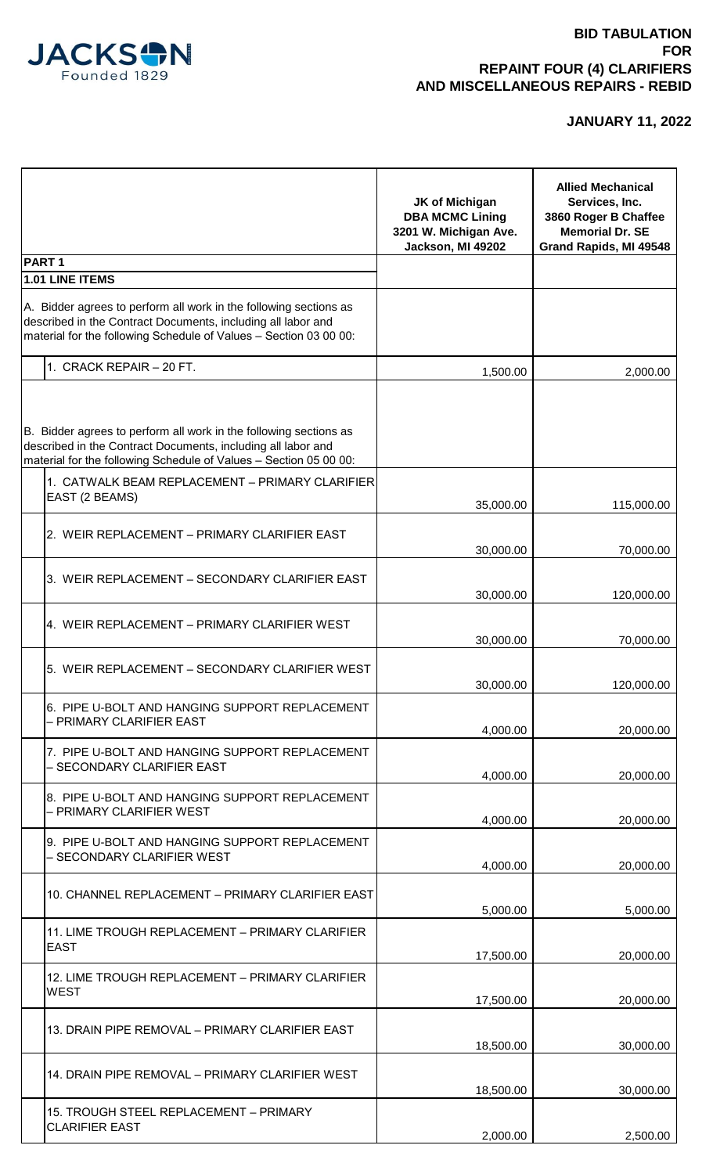

|                                                                                                                                                                                                        | JK of Michigan<br><b>DBA MCMC Lining</b><br>3201 W. Michigan Ave.<br>Jackson, MI 49202 | <b>Allied Mechanical</b><br>Services, Inc.<br>3860 Roger B Chaffee<br><b>Memorial Dr. SE</b><br>Grand Rapids, MI 49548 |
|--------------------------------------------------------------------------------------------------------------------------------------------------------------------------------------------------------|----------------------------------------------------------------------------------------|------------------------------------------------------------------------------------------------------------------------|
| <b>PART1</b><br>1.01 LINE ITEMS                                                                                                                                                                        |                                                                                        |                                                                                                                        |
| A. Bidder agrees to perform all work in the following sections as<br>described in the Contract Documents, including all labor and<br>material for the following Schedule of Values - Section 03 00 00: |                                                                                        |                                                                                                                        |
| 1. CRACK REPAIR - 20 FT.                                                                                                                                                                               | 1,500.00                                                                               | 2,000.00                                                                                                               |
| B. Bidder agrees to perform all work in the following sections as<br>described in the Contract Documents, including all labor and<br>material for the following Schedule of Values - Section 05 00 00: |                                                                                        |                                                                                                                        |
| 1. CATWALK BEAM REPLACEMENT - PRIMARY CLARIFIER<br>EAST (2 BEAMS)                                                                                                                                      | 35,000.00                                                                              | 115,000.00                                                                                                             |
| 2. WEIR REPLACEMENT - PRIMARY CLARIFIER EAST                                                                                                                                                           | 30,000.00                                                                              | 70,000.00                                                                                                              |
| 3. WEIR REPLACEMENT - SECONDARY CLARIFIER EAST                                                                                                                                                         | 30,000.00                                                                              | 120,000.00                                                                                                             |
| 4. WEIR REPLACEMENT – PRIMARY CLARIFIER WEST                                                                                                                                                           | 30,000.00                                                                              | 70,000.00                                                                                                              |
| 5. WEIR REPLACEMENT – SECONDARY CLARIFIER WEST                                                                                                                                                         | 30,000.00                                                                              | 120,000.00                                                                                                             |
| 6. PIPE U-BOLT AND HANGING SUPPORT REPLACEMENT<br>- PRIMARY CLARIFIER EAST                                                                                                                             | 4,000.00                                                                               | 20,000.00                                                                                                              |
| 7. PIPE U-BOLT AND HANGING SUPPORT REPLACEMENT<br>- SECONDARY CLARIFIER EAST                                                                                                                           | 4,000.00                                                                               | 20,000.00                                                                                                              |
| 8. PIPE U-BOLT AND HANGING SUPPORT REPLACEMENT<br>- PRIMARY CLARIFIER WEST                                                                                                                             | 4,000.00                                                                               | 20,000.00                                                                                                              |
| 9. PIPE U-BOLT AND HANGING SUPPORT REPLACEMENT<br>– SECONDARY CLARIFIER WEST                                                                                                                           | 4,000.00                                                                               | 20,000.00                                                                                                              |
| 10. CHANNEL REPLACEMENT - PRIMARY CLARIFIER EAST                                                                                                                                                       | 5,000.00                                                                               | 5,000.00                                                                                                               |
| 11. LIME TROUGH REPLACEMENT - PRIMARY CLARIFIER<br><b>EAST</b>                                                                                                                                         | 17,500.00                                                                              | 20,000.00                                                                                                              |
| 12. LIME TROUGH REPLACEMENT - PRIMARY CLARIFIER<br><b>WEST</b>                                                                                                                                         |                                                                                        |                                                                                                                        |
| 13. DRAIN PIPE REMOVAL - PRIMARY CLARIFIER EAST                                                                                                                                                        | 17,500.00                                                                              | 20,000.00                                                                                                              |
| 14. DRAIN PIPE REMOVAL - PRIMARY CLARIFIER WEST                                                                                                                                                        | 18,500.00                                                                              | 30,000.00                                                                                                              |
| 15. TROUGH STEEL REPLACEMENT - PRIMARY<br><b>CLARIFIER EAST</b>                                                                                                                                        | 18,500.00<br>2,000.00                                                                  | 30,000.00<br>2,500.00                                                                                                  |
|                                                                                                                                                                                                        |                                                                                        |                                                                                                                        |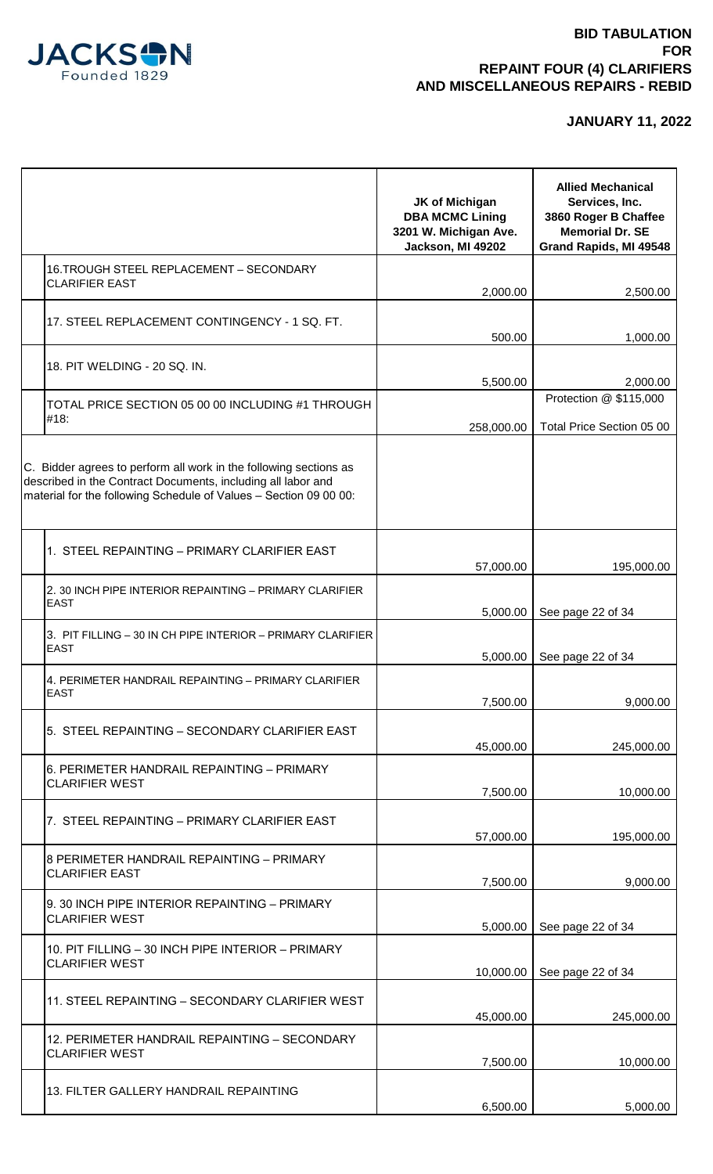

|                                                                                                                                                                                                        | <b>JK of Michigan</b><br><b>DBA MCMC Lining</b><br>3201 W. Michigan Ave.<br>Jackson, MI 49202 | <b>Allied Mechanical</b><br>Services, Inc.<br>3860 Roger B Chaffee<br><b>Memorial Dr. SE</b><br>Grand Rapids, MI 49548 |
|--------------------------------------------------------------------------------------------------------------------------------------------------------------------------------------------------------|-----------------------------------------------------------------------------------------------|------------------------------------------------------------------------------------------------------------------------|
| 16. TROUGH STEEL REPLACEMENT - SECONDARY                                                                                                                                                               |                                                                                               |                                                                                                                        |
| <b>CLARIFIER EAST</b>                                                                                                                                                                                  | 2,000.00                                                                                      | 2,500.00                                                                                                               |
| 17. STEEL REPLACEMENT CONTINGENCY - 1 SQ. FT.                                                                                                                                                          | 500.00                                                                                        | 1,000.00                                                                                                               |
| 18. PIT WELDING - 20 SQ. IN.                                                                                                                                                                           | 5,500.00                                                                                      | 2,000.00                                                                                                               |
| TOTAL PRICE SECTION 05 00 00 INCLUDING #1 THROUGH<br>#18:                                                                                                                                              | 258,000.00                                                                                    | Protection @ \$115,000<br>Total Price Section 05 00                                                                    |
| C. Bidder agrees to perform all work in the following sections as<br>described in the Contract Documents, including all labor and<br>material for the following Schedule of Values - Section 09 00 00: |                                                                                               |                                                                                                                        |
| 1. STEEL REPAINTING – PRIMARY CLARIFIER EAST                                                                                                                                                           | 57,000.00                                                                                     | 195,000.00                                                                                                             |
| 2. 30 INCH PIPE INTERIOR REPAINTING - PRIMARY CLARIFIER<br><b>EAST</b>                                                                                                                                 | 5,000.00                                                                                      | See page 22 of 34                                                                                                      |
| 3. PIT FILLING - 30 IN CH PIPE INTERIOR - PRIMARY CLARIFIER<br><b>EAST</b>                                                                                                                             | 5,000.00                                                                                      | See page 22 of 34                                                                                                      |
| 4. PERIMETER HANDRAIL REPAINTING - PRIMARY CLARIFIER<br><b>EAST</b>                                                                                                                                    | 7,500.00                                                                                      | 9,000.00                                                                                                               |
| 5. STEEL REPAINTING – SECONDARY CLARIFIER EAST                                                                                                                                                         | 45,000.00                                                                                     | 245,000.00                                                                                                             |
| 6. PERIMETER HANDRAIL REPAINTING - PRIMARY<br><b>CLARIFIER WEST</b>                                                                                                                                    | 7,500.00                                                                                      | 10,000.00                                                                                                              |
| 7. STEEL REPAINTING – PRIMARY CLARIFIER EAST                                                                                                                                                           | 57,000.00                                                                                     | 195,000.00                                                                                                             |
| 8 PERIMETER HANDRAIL REPAINTING - PRIMARY<br><b>CLARIFIER EAST</b>                                                                                                                                     | 7,500.00                                                                                      | 9,000.00                                                                                                               |
| 9. 30 INCH PIPE INTERIOR REPAINTING - PRIMARY<br><b>CLARIFIER WEST</b>                                                                                                                                 | 5,000.00                                                                                      | See page 22 of 34                                                                                                      |
| 10. PIT FILLING - 30 INCH PIPE INTERIOR - PRIMARY<br><b>CLARIFIER WEST</b>                                                                                                                             | 10,000.00                                                                                     | See page 22 of 34                                                                                                      |
| 11. STEEL REPAINTING - SECONDARY CLARIFIER WEST                                                                                                                                                        | 45,000.00                                                                                     | 245,000.00                                                                                                             |
| 12. PERIMETER HANDRAIL REPAINTING - SECONDARY<br><b>CLARIFIER WEST</b>                                                                                                                                 | 7,500.00                                                                                      | 10,000.00                                                                                                              |
| 13. FILTER GALLERY HANDRAIL REPAINTING                                                                                                                                                                 | 6,500.00                                                                                      | 5,000.00                                                                                                               |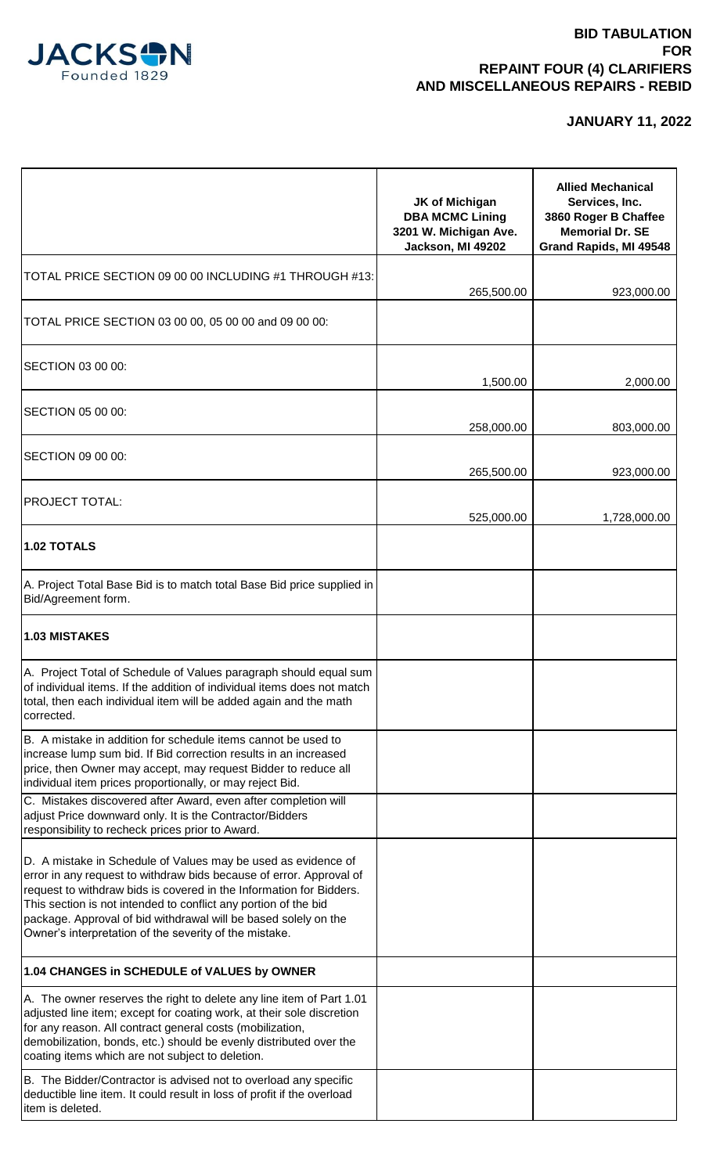

|                                                                                                                                                                                                                                                                                                                                                                                                             | <b>JK of Michigan</b><br><b>DBA MCMC Lining</b><br>3201 W. Michigan Ave.<br>Jackson, MI 49202 | <b>Allied Mechanical</b><br>Services, Inc.<br>3860 Roger B Chaffee<br><b>Memorial Dr. SE</b><br>Grand Rapids, MI 49548 |
|-------------------------------------------------------------------------------------------------------------------------------------------------------------------------------------------------------------------------------------------------------------------------------------------------------------------------------------------------------------------------------------------------------------|-----------------------------------------------------------------------------------------------|------------------------------------------------------------------------------------------------------------------------|
| TOTAL PRICE SECTION 09 00 00 INCLUDING #1 THROUGH #13:                                                                                                                                                                                                                                                                                                                                                      | 265,500.00                                                                                    | 923,000.00                                                                                                             |
| TOTAL PRICE SECTION 03 00 00, 05 00 00 and 09 00 00:                                                                                                                                                                                                                                                                                                                                                        |                                                                                               |                                                                                                                        |
| SECTION 03 00 00:                                                                                                                                                                                                                                                                                                                                                                                           | 1,500.00                                                                                      | 2,000.00                                                                                                               |
| SECTION 05 00 00:                                                                                                                                                                                                                                                                                                                                                                                           | 258,000.00                                                                                    | 803,000.00                                                                                                             |
| SECTION 09 00 00:                                                                                                                                                                                                                                                                                                                                                                                           | 265,500.00                                                                                    | 923,000.00                                                                                                             |
| <b>PROJECT TOTAL:</b>                                                                                                                                                                                                                                                                                                                                                                                       | 525,000.00                                                                                    | 1,728,000.00                                                                                                           |
| <b>1.02 TOTALS</b>                                                                                                                                                                                                                                                                                                                                                                                          |                                                                                               |                                                                                                                        |
| A. Project Total Base Bid is to match total Base Bid price supplied in<br>Bid/Agreement form.                                                                                                                                                                                                                                                                                                               |                                                                                               |                                                                                                                        |
| 1.03 MISTAKES                                                                                                                                                                                                                                                                                                                                                                                               |                                                                                               |                                                                                                                        |
| A. Project Total of Schedule of Values paragraph should equal sum<br>of individual items. If the addition of individual items does not match<br>total, then each individual item will be added again and the math<br>corrected.                                                                                                                                                                             |                                                                                               |                                                                                                                        |
| B. A mistake in addition for schedule items cannot be used to<br>increase lump sum bid. If Bid correction results in an increased<br>price, then Owner may accept, may request Bidder to reduce all<br>individual item prices proportionally, or may reject Bid.                                                                                                                                            |                                                                                               |                                                                                                                        |
| C. Mistakes discovered after Award, even after completion will<br>adjust Price downward only. It is the Contractor/Bidders<br>responsibility to recheck prices prior to Award.                                                                                                                                                                                                                              |                                                                                               |                                                                                                                        |
| D. A mistake in Schedule of Values may be used as evidence of<br>error in any request to withdraw bids because of error. Approval of<br>request to withdraw bids is covered in the Information for Bidders.<br>This section is not intended to conflict any portion of the bid<br>package. Approval of bid withdrawal will be based solely on the<br>Owner's interpretation of the severity of the mistake. |                                                                                               |                                                                                                                        |
| 1.04 CHANGES in SCHEDULE of VALUES by OWNER                                                                                                                                                                                                                                                                                                                                                                 |                                                                                               |                                                                                                                        |
| A. The owner reserves the right to delete any line item of Part 1.01<br>adjusted line item; except for coating work, at their sole discretion<br>for any reason. All contract general costs (mobilization,<br>demobilization, bonds, etc.) should be evenly distributed over the<br>coating items which are not subject to deletion.                                                                        |                                                                                               |                                                                                                                        |
| B. The Bidder/Contractor is advised not to overload any specific<br>deductible line item. It could result in loss of profit if the overload<br>item is deleted.                                                                                                                                                                                                                                             |                                                                                               |                                                                                                                        |